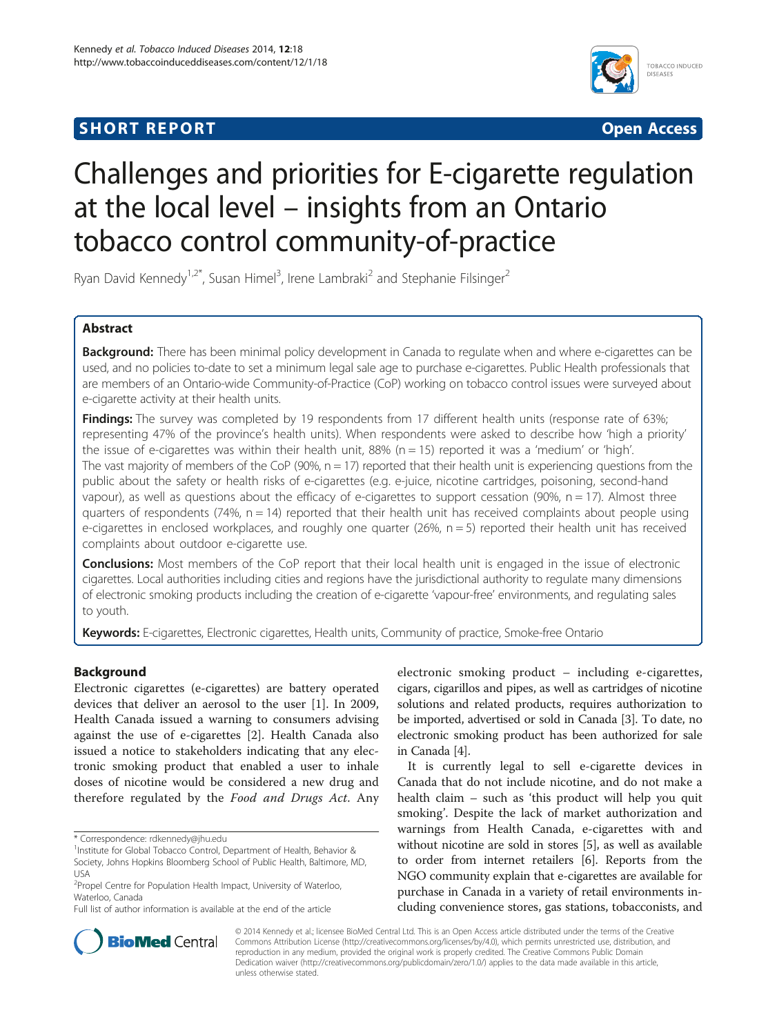# **SHORT REPORT SHORT CONSUMING THE SHORT CONSUMING THE SHORT CONSUMING THE SHORT CONSUMING THE SHORT CONSUMING THE SHORT CONSUMING THE SHORT CONSUMING THE SHORT CONSUMING THE SHORT CONSUMING THE SHORT CONSUMING THE SHORT**



# Challenges and priorities for E-cigarette regulation at the local level – insights from an Ontario tobacco control community-of-practice

Ryan David Kennedy<sup>1,2\*</sup>, Susan Himel<sup>3</sup>, Irene Lambraki<sup>2</sup> and Stephanie Filsinger<sup>2</sup>

# Abstract

Background: There has been minimal policy development in Canada to regulate when and where e-cigarettes can be used, and no policies to-date to set a minimum legal sale age to purchase e-cigarettes. Public Health professionals that are members of an Ontario-wide Community-of-Practice (CoP) working on tobacco control issues were surveyed about e-cigarette activity at their health units.

Findings: The survey was completed by 19 respondents from 17 different health units (response rate of 63%; representing 47% of the province's health units). When respondents were asked to describe how 'high a priority' the issue of e-cigarettes was within their health unit, 88% ( $n = 15$ ) reported it was a 'medium' or 'high'. The vast majority of members of the CoP (90%,  $n = 17$ ) reported that their health unit is experiencing questions from the public about the safety or health risks of e-cigarettes (e.g. e-juice, nicotine cartridges, poisoning, second-hand vapour), as well as questions about the efficacy of e-cigarettes to support cessation (90%,  $n = 17$ ). Almost three quarters of respondents (74%,  $n = 14$ ) reported that their health unit has received complaints about people using e-cigarettes in enclosed workplaces, and roughly one quarter (26%, n = 5) reported their health unit has received complaints about outdoor e-cigarette use.

Conclusions: Most members of the CoP report that their local health unit is engaged in the issue of electronic cigarettes. Local authorities including cities and regions have the jurisdictional authority to regulate many dimensions of electronic smoking products including the creation of e-cigarette 'vapour-free' environments, and regulating sales to youth.

Keywords: E-cigarettes, Electronic cigarettes, Health units, Community of practice, Smoke-free Ontario

# Background

Electronic cigarettes (e-cigarettes) are battery operated devices that deliver an aerosol to the user [[1\]](#page-4-0). In 2009, Health Canada issued a warning to consumers advising against the use of e-cigarettes [[2\]](#page-4-0). Health Canada also issued a notice to stakeholders indicating that any electronic smoking product that enabled a user to inhale doses of nicotine would be considered a new drug and therefore regulated by the Food and Drugs Act. Any

electronic smoking product – including e-cigarettes, cigars, cigarillos and pipes, as well as cartridges of nicotine solutions and related products, requires authorization to be imported, advertised or sold in Canada [\[3](#page-4-0)]. To date, no electronic smoking product has been authorized for sale in Canada [[4\]](#page-4-0).

It is currently legal to sell e-cigarette devices in Canada that do not include nicotine, and do not make a health claim – such as 'this product will help you quit smoking'. Despite the lack of market authorization and warnings from Health Canada, e-cigarettes with and without nicotine are sold in stores [[5\]](#page-4-0), as well as available to order from internet retailers [[6](#page-4-0)]. Reports from the NGO community explain that e-cigarettes are available for purchase in Canada in a variety of retail environments including convenience stores, gas stations, tobacconists, and



© 2014 Kennedy et al.; licensee BioMed Central Ltd. This is an Open Access article distributed under the terms of the Creative Commons Attribution License [\(http://creativecommons.org/licenses/by/4.0\)](http://creativecommons.org/licenses/by/4.0), which permits unrestricted use, distribution, and reproduction in any medium, provided the original work is properly credited. The Creative Commons Public Domain Dedication waiver [\(http://creativecommons.org/publicdomain/zero/1.0/](http://creativecommons.org/publicdomain/zero/1.0/)) applies to the data made available in this article, unless otherwise stated.

<sup>\*</sup> Correspondence: [rdkennedy@jhu.edu](mailto:rdkennedy@jhu.edu) <sup>1</sup>

<sup>&</sup>lt;sup>1</sup> Institute for Global Tobacco Control, Department of Health, Behavior & Society, Johns Hopkins Bloomberg School of Public Health, Baltimore, MD,

USA

<sup>&</sup>lt;sup>2</sup> Propel Centre for Population Health Impact, University of Waterloo, Waterloo, Canada

Full list of author information is available at the end of the article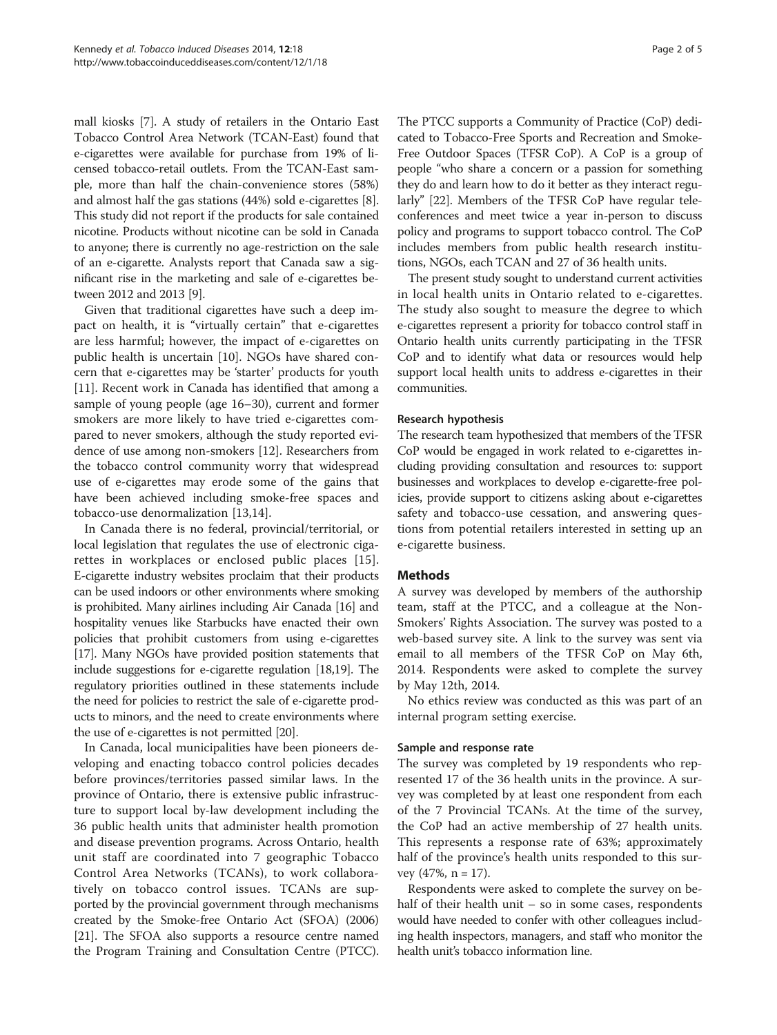mall kiosks [\[7](#page-4-0)]. A study of retailers in the Ontario East Tobacco Control Area Network (TCAN-East) found that e-cigarettes were available for purchase from 19% of licensed tobacco-retail outlets. From the TCAN-East sample, more than half the chain-convenience stores (58%) and almost half the gas stations (44%) sold e-cigarettes [[8](#page-4-0)]. This study did not report if the products for sale contained nicotine. Products without nicotine can be sold in Canada to anyone; there is currently no age-restriction on the sale of an e-cigarette. Analysts report that Canada saw a significant rise in the marketing and sale of e-cigarettes between 2012 and 2013 [\[9](#page-4-0)].

Given that traditional cigarettes have such a deep impact on health, it is "virtually certain" that e-cigarettes are less harmful; however, the impact of e-cigarettes on public health is uncertain [\[10](#page-4-0)]. NGOs have shared concern that e-cigarettes may be 'starter' products for youth [[11\]](#page-4-0). Recent work in Canada has identified that among a sample of young people (age 16–30), current and former smokers are more likely to have tried e-cigarettes compared to never smokers, although the study reported evidence of use among non-smokers [\[12](#page-4-0)]. Researchers from the tobacco control community worry that widespread use of e-cigarettes may erode some of the gains that have been achieved including smoke-free spaces and tobacco-use denormalization [\[13,14\]](#page-4-0).

In Canada there is no federal, provincial/territorial, or local legislation that regulates the use of electronic cigarettes in workplaces or enclosed public places [[15](#page-4-0)]. E-cigarette industry websites proclaim that their products can be used indoors or other environments where smoking is prohibited. Many airlines including Air Canada [\[16\]](#page-4-0) and hospitality venues like Starbucks have enacted their own policies that prohibit customers from using e-cigarettes [[17](#page-4-0)]. Many NGOs have provided position statements that include suggestions for e-cigarette regulation [[18,19\]](#page-4-0). The regulatory priorities outlined in these statements include the need for policies to restrict the sale of e-cigarette products to minors, and the need to create environments where the use of e-cigarettes is not permitted [\[20\]](#page-4-0).

In Canada, local municipalities have been pioneers developing and enacting tobacco control policies decades before provinces/territories passed similar laws. In the province of Ontario, there is extensive public infrastructure to support local by-law development including the 36 public health units that administer health promotion and disease prevention programs. Across Ontario, health unit staff are coordinated into 7 geographic Tobacco Control Area Networks (TCANs), to work collaboratively on tobacco control issues. TCANs are supported by the provincial government through mechanisms created by the Smoke-free Ontario Act (SFOA) (2006) [[21](#page-4-0)]. The SFOA also supports a resource centre named the Program Training and Consultation Centre (PTCC).

The PTCC supports a Community of Practice (CoP) dedicated to Tobacco-Free Sports and Recreation and Smoke-Free Outdoor Spaces (TFSR CoP). A CoP is a group of people "who share a concern or a passion for something they do and learn how to do it better as they interact regularly" [\[22\]](#page-4-0). Members of the TFSR CoP have regular teleconferences and meet twice a year in-person to discuss policy and programs to support tobacco control. The CoP includes members from public health research institutions, NGOs, each TCAN and 27 of 36 health units.

The present study sought to understand current activities in local health units in Ontario related to e-cigarettes. The study also sought to measure the degree to which e-cigarettes represent a priority for tobacco control staff in Ontario health units currently participating in the TFSR CoP and to identify what data or resources would help support local health units to address e-cigarettes in their communities.

# Research hypothesis

The research team hypothesized that members of the TFSR CoP would be engaged in work related to e-cigarettes including providing consultation and resources to: support businesses and workplaces to develop e-cigarette-free policies, provide support to citizens asking about e-cigarettes safety and tobacco-use cessation, and answering questions from potential retailers interested in setting up an e-cigarette business.

# Methods

A survey was developed by members of the authorship team, staff at the PTCC, and a colleague at the Non-Smokers' Rights Association. The survey was posted to a web-based survey site. A link to the survey was sent via email to all members of the TFSR CoP on May 6th, 2014. Respondents were asked to complete the survey by May 12th, 2014.

No ethics review was conducted as this was part of an internal program setting exercise.

# Sample and response rate

The survey was completed by 19 respondents who represented 17 of the 36 health units in the province. A survey was completed by at least one respondent from each of the 7 Provincial TCANs. At the time of the survey, the CoP had an active membership of 27 health units. This represents a response rate of 63%; approximately half of the province's health units responded to this survey  $(47\%, n = 17)$ .

Respondents were asked to complete the survey on behalf of their health unit – so in some cases, respondents would have needed to confer with other colleagues including health inspectors, managers, and staff who monitor the health unit's tobacco information line.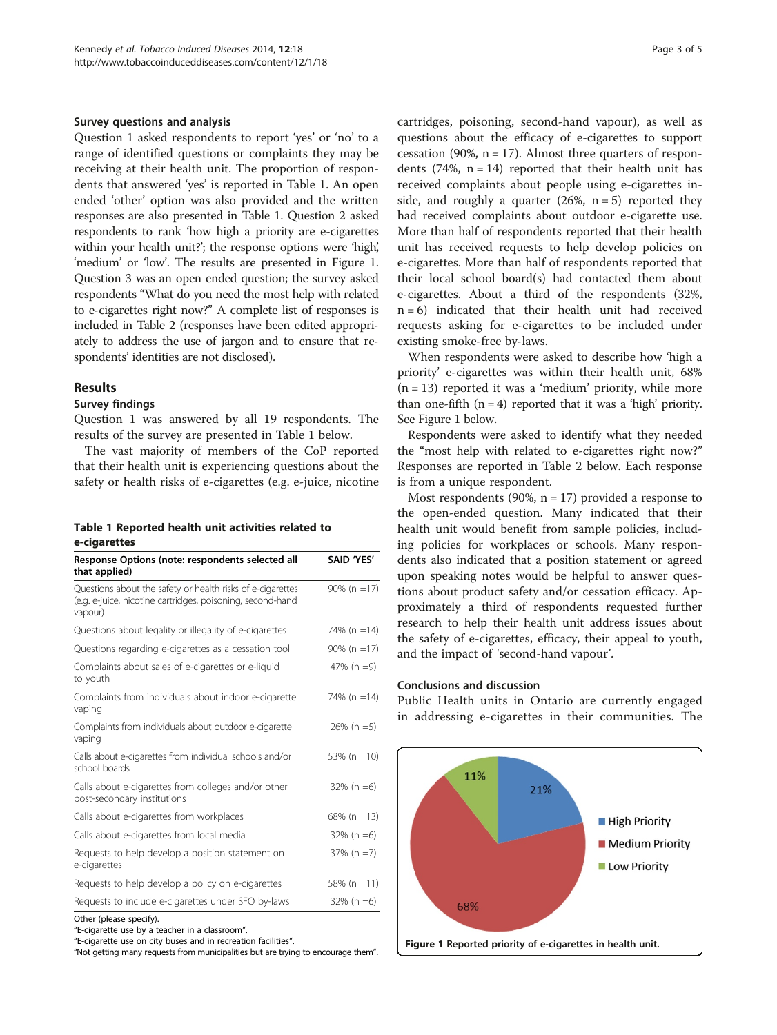## Survey questions and analysis

Question 1 asked respondents to report 'yes' or 'no' to a range of identified questions or complaints they may be receiving at their health unit. The proportion of respondents that answered 'yes' is reported in Table 1. An open ended 'other' option was also provided and the written responses are also presented in Table 1. Question 2 asked respondents to rank 'how high a priority are e-cigarettes within your health unit?'; the response options were 'high', 'medium' or 'low'. The results are presented in Figure 1. Question 3 was an open ended question; the survey asked respondents "What do you need the most help with related to e-cigarettes right now?" A complete list of responses is included in Table [2](#page-3-0) (responses have been edited appropriately to address the use of jargon and to ensure that respondents' identities are not disclosed).

## Results

#### Survey findings

Question 1 was answered by all 19 respondents. The results of the survey are presented in Table 1 below.

The vast majority of members of the CoP reported that their health unit is experiencing questions about the safety or health risks of e-cigarettes (e.g. e-juice, nicotine

# Table 1 Reported health unit activities related to e-cigarettes

| Response Options (note: respondents selected all<br>that applied)                                                                   | SAID 'YES'       |
|-------------------------------------------------------------------------------------------------------------------------------------|------------------|
| Questions about the safety or health risks of e-cigarettes<br>(e.g. e-juice, nicotine cartridges, poisoning, second-hand<br>vapour) | $90\%$ (n =17)   |
| Questions about legality or illegality of e-cigarettes                                                                              | 74% ( $n = 14$ ) |
| Questions regarding e-cigarettes as a cessation tool                                                                                | $90\%$ (n = 17)  |
| Complaints about sales of e-cigarettes or e-liquid<br>to youth                                                                      | 47% (n =9)       |
| Complaints from individuals about indoor e-cigarette<br>vaping                                                                      | 74% ( $n = 14$ ) |
| Complaints from individuals about outdoor e-cigarette<br>vaping                                                                     | $26\%$ (n =5)    |
| Calls about e-cigarettes from individual schools and/or<br>school boards                                                            | 53% ( $n = 10$ ) |
| Calls about e-cigarettes from colleges and/or other<br>post-secondary institutions                                                  | $32\%$ (n =6)    |
| Calls about e-cigarettes from workplaces                                                                                            | 68% (n = 13)     |
| Calls about e-cigarettes from local media                                                                                           | $32\%$ (n =6)    |
| Requests to help develop a position statement on<br>e-cigarettes                                                                    | $37\%$ (n =7)    |
| Requests to help develop a policy on e-cigarettes                                                                                   | 58% (n = 11)     |
| Requests to include e-cigarettes under SFO by-laws                                                                                  | $32\%$ (n =6)    |

Other (please specify).

"E-cigarette use by a teacher in a classroom".

"E-cigarette use on city buses and in recreation facilities".

cartridges, poisoning, second-hand vapour), as well as questions about the efficacy of e-cigarettes to support cessation (90%,  $n = 17$ ). Almost three quarters of respondents (74%,  $n = 14$ ) reported that their health unit has received complaints about people using e-cigarettes inside, and roughly a quarter  $(26\%, n=5)$  reported they had received complaints about outdoor e-cigarette use. More than half of respondents reported that their health unit has received requests to help develop policies on e-cigarettes. More than half of respondents reported that their local school board(s) had contacted them about e-cigarettes. About a third of the respondents (32%,  $n = 6$ ) indicated that their health unit had received requests asking for e-cigarettes to be included under existing smoke-free by-laws.

When respondents were asked to describe how 'high a priority' e-cigarettes was within their health unit, 68%  $(n = 13)$  reported it was a 'medium' priority, while more than one-fifth  $(n = 4)$  reported that it was a 'high' priority. See Figure 1 below.

Respondents were asked to identify what they needed the "most help with related to e-cigarettes right now?" Responses are reported in Table [2](#page-3-0) below. Each response is from a unique respondent.

Most respondents (90%,  $n = 17$ ) provided a response to the open-ended question. Many indicated that their health unit would benefit from sample policies, including policies for workplaces or schools. Many respondents also indicated that a position statement or agreed upon speaking notes would be helpful to answer questions about product safety and/or cessation efficacy. Approximately a third of respondents requested further research to help their health unit address issues about the safety of e-cigarettes, efficacy, their appeal to youth, and the impact of 'second-hand vapour'.

#### Conclusions and discussion

Public Health units in Ontario are currently engaged in addressing e-cigarettes in their communities. The

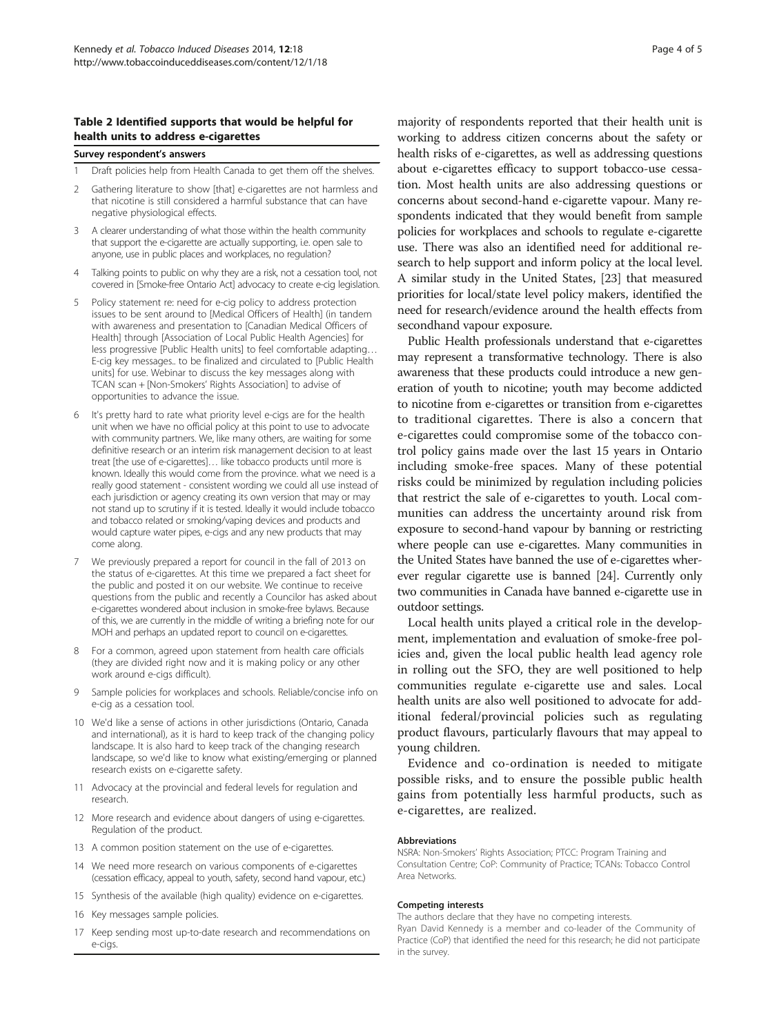# <span id="page-3-0"></span>Table 2 Identified supports that would be helpful for health units to address e-cigarettes

## Survey respondent's answers

- Draft policies help from Health Canada to get them off the shelves.
- 2 Gathering literature to show [that] e-cigarettes are not harmless and that nicotine is still considered a harmful substance that can have negative physiological effects.
- A clearer understanding of what those within the health community that support the e-cigarette are actually supporting, i.e. open sale to anyone, use in public places and workplaces, no regulation?
- Talking points to public on why they are a risk, not a cessation tool, not covered in [Smoke-free Ontario Act] advocacy to create e-cig legislation.
- 5 Policy statement re: need for e-cig policy to address protection issues to be sent around to [Medical Officers of Health] (in tandem with awareness and presentation to [Canadian Medical Officers of Health] through [Association of Local Public Health Agencies] for less progressive [Public Health units] to feel comfortable adapting… E-cig key messages.. to be finalized and circulated to [Public Health units] for use. Webinar to discuss the key messages along with TCAN scan + [Non-Smokers' Rights Association] to advise of opportunities to advance the issue.
- 6 It's pretty hard to rate what priority level e-cigs are for the health unit when we have no official policy at this point to use to advocate with community partners. We, like many others, are waiting for some definitive research or an interim risk management decision to at least treat [the use of e-cigarettes]… like tobacco products until more is known. Ideally this would come from the province. what we need is a really good statement - consistent wording we could all use instead of each jurisdiction or agency creating its own version that may or may not stand up to scrutiny if it is tested. Ideally it would include tobacco and tobacco related or smoking/vaping devices and products and would capture water pipes, e-cigs and any new products that may come along.
- We previously prepared a report for council in the fall of 2013 on the status of e-cigarettes. At this time we prepared a fact sheet for the public and posted it on our website. We continue to receive questions from the public and recently a Councilor has asked about e-cigarettes wondered about inclusion in smoke-free bylaws. Because of this, we are currently in the middle of writing a briefing note for our MOH and perhaps an updated report to council on e-cigarettes.
- 8 For a common, agreed upon statement from health care officials (they are divided right now and it is making policy or any other work around e-cigs difficult).
- 9 Sample policies for workplaces and schools. Reliable/concise info on e-cig as a cessation tool.
- 10 We'd like a sense of actions in other jurisdictions (Ontario, Canada and international), as it is hard to keep track of the changing policy landscape. It is also hard to keep track of the changing research landscape, so we'd like to know what existing/emerging or planned research exists on e-cigarette safety.
- 11 Advocacy at the provincial and federal levels for regulation and research.
- 12 More research and evidence about dangers of using e-cigarettes. Regulation of the product.
- 13 A common position statement on the use of e-cigarettes.
- 14 We need more research on various components of e-cigarettes (cessation efficacy, appeal to youth, safety, second hand vapour, etc.)
- 15 Synthesis of the available (high quality) evidence on e-cigarettes.
- 16 Key messages sample policies.
- 17 Keep sending most up-to-date research and recommendations on e-cigs.

majority of respondents reported that their health unit is working to address citizen concerns about the safety or health risks of e-cigarettes, as well as addressing questions about e-cigarettes efficacy to support tobacco-use cessation. Most health units are also addressing questions or concerns about second-hand e-cigarette vapour. Many respondents indicated that they would benefit from sample policies for workplaces and schools to regulate e-cigarette use. There was also an identified need for additional research to help support and inform policy at the local level. A similar study in the United States, [[23](#page-4-0)] that measured priorities for local/state level policy makers, identified the need for research/evidence around the health effects from secondhand vapour exposure.

Public Health professionals understand that e-cigarettes may represent a transformative technology. There is also awareness that these products could introduce a new generation of youth to nicotine; youth may become addicted to nicotine from e-cigarettes or transition from e-cigarettes to traditional cigarettes. There is also a concern that e-cigarettes could compromise some of the tobacco control policy gains made over the last 15 years in Ontario including smoke-free spaces. Many of these potential risks could be minimized by regulation including policies that restrict the sale of e-cigarettes to youth. Local communities can address the uncertainty around risk from exposure to second-hand vapour by banning or restricting where people can use e-cigarettes. Many communities in the United States have banned the use of e-cigarettes wherever regular cigarette use is banned [\[24\]](#page-4-0). Currently only two communities in Canada have banned e-cigarette use in outdoor settings.

Local health units played a critical role in the development, implementation and evaluation of smoke-free policies and, given the local public health lead agency role in rolling out the SFO, they are well positioned to help communities regulate e-cigarette use and sales. Local health units are also well positioned to advocate for additional federal/provincial policies such as regulating product flavours, particularly flavours that may appeal to young children.

Evidence and co-ordination is needed to mitigate possible risks, and to ensure the possible public health gains from potentially less harmful products, such as e-cigarettes, are realized.

#### Abbreviations

NSRA: Non-Smokers' Rights Association; PTCC: Program Training and Consultation Centre; CoP: Community of Practice; TCANs: Tobacco Control Area Networks.

#### Competing interests

The authors declare that they have no competing interests. Ryan David Kennedy is a member and co-leader of the Community of Practice (CoP) that identified the need for this research; he did not participate in the survey.